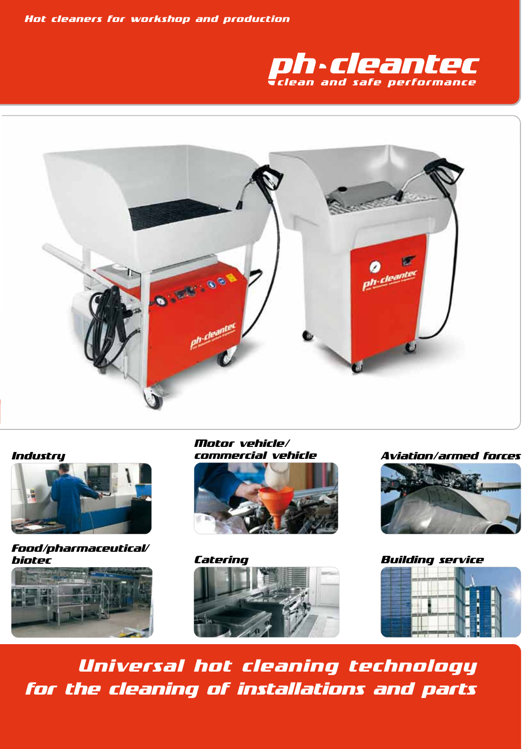*Hot cleaners for workshop and production*





#### *Industry*



*Food/pharmaceutical/ biotec*



*Motor vehicle/*





*commercial vehicle Aviation/armed forces*



*Universal hot cleaning technology for the cleaning of installations and parts*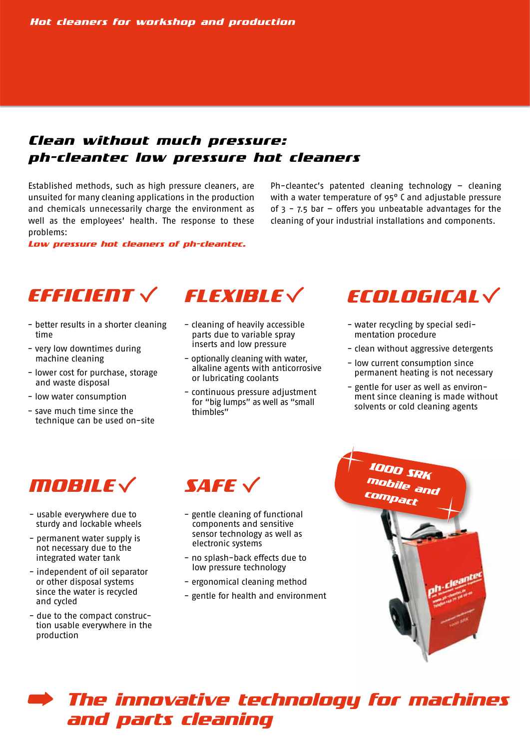# *Clean without much pressure: ph-cleantec low pressure hot cleaners*

Established methods, such as high pressure cleaners, are unsuited for many cleaning applications in the production and chemicals unnecessarily charge the environment as well as the employees' health. The response to these problems:

*Low pressure hot cleaners of ph-cleantec.*

Ph-cleantec's patented cleaning technology – cleaning with a water temperature of 95° C and adjustable pressure of  $3 - 7.5$  bar - offers you unbeatable advantages for the cleaning of your industrial installations and components.



- better results in a shorter cleaning time
- very low downtimes during machine cleaning
- lower cost for purchase, storage and waste disposal
- low water consumption
- save much time since the technique can be used on-site



- cleaning of heavily accessible parts due to variable spray inserts and low pressure
- optionally cleaning with water, alkaline agents with anticorrosive or lubricating coolants
- continuous pressure adjustment for "big lumps" as well as "small thimbles"



- water recycling by special sedi mentation procedure
- clean without aggressive detergents
- low current consumption since permanent heating is not necessary
- gentle for user as well as environ ment since cleaning is made without solvents or cold cleaning agents



- usable everywhere due to sturdy and lockable wheels
- permanent water supply is not necessary due to the integrated water tank
- independent of oil separator or other disposal systems since the water is recycled and cycled
- due to the compact construc tion usable everywhere in the production



- gentle cleaning of functional components and sensitive sensor technology as well as electronic systems
- no splash-back effects due to low pressure technology
- ergonomical cleaning method
- gentle for health and environment



# *The innovative technology for machines and parts cleaning*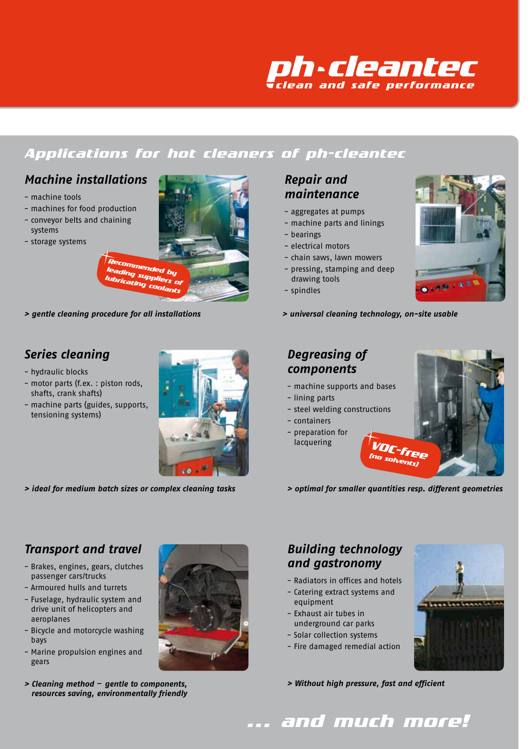

# *Applications for hot cleaners of ph-cleantec*

#### *Machine installations*

- machine tools
- machines for food production
- conveyor belts and chaining systems
- storage systems



*> gentle cleaning procedure for all installations > universal cleaning technology, on-site usable*

# *Series cleaning*

- hydraulic blocks
- motor parts (f.ex. : piston rods, shafts, crank shafts)
- machine parts (guides, supports, tensioning systems)



*> ideal for medium batch sizes or complex cleaning tasks*

#### *Repair and maintenance*

- aggregates at pumps
- machine parts and linings
- bearings
- electrical motors
- chain saws, lawn mowers
- pressing, stamping and deep drawing tools
- spindles
- 

#### *Degreasing of components*

- machine supports and bases
- lining parts
- steel welding constructions
- containers
- preparation for lacquering



*> optimal for smaller quantities resp. different geometries*

# *Transport and travel*

- Brakes, engines, gears, clutches passenger cars/trucks
- Armoured hulls and turrets
- Fuselage, hydraulic system and drive unit of helicopters and aeroplanes
- Bicycle and motorcycle washing bays
- Marine propulsion engines and gears
- *> Cleaning method* – *gentle to components, resources saving, environmentally friendly*



#### *Building technology and gastronomy*

- Radiators in offices and hotels
- Catering extract systems and equipment
- Exhaust air tubes in underground car parks
- Solar collection systems
- Fire damaged remedial action



*> Without high pressure, fast and efficient*